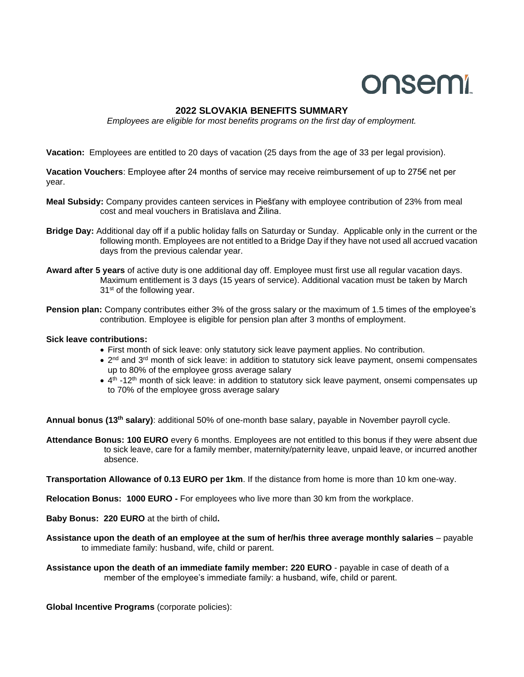## onsemi

## **2022 SLOVAKIA BENEFITS SUMMARY**

*Employees are eligible for most benefits programs on the first day of employment.*

**Vacation:** Employees are entitled to 20 days of vacation (25 days from the age of 33 per legal provision).

**Vacation Vouchers**: Employee after 24 months of service may receive reimbursement of up to 275€ net per year.

- **Meal Subsidy:** Company provides canteen services in Piešťany with employee contribution of 23% from meal cost and meal vouchers in Bratislava and Žilina.
- **Bridge Day:** Additional day off if a public holiday falls on Saturday or Sunday. Applicable only in the current or the following month. Employees are not entitled to a Bridge Day if they have not used all accrued vacation days from the previous calendar year.
- **Award after 5 years** of active duty is one additional day off. Employee must first use all regular vacation days. Maximum entitlement is 3 days (15 years of service). Additional vacation must be taken by March 31<sup>st</sup> of the following year.
- **Pension plan:** Company contributes either 3% of the gross salary or the maximum of 1.5 times of the employee's contribution. Employee is eligible for pension plan after 3 months of employment.

## **Sick leave contributions:**

- First month of sick leave: only statutory sick leave payment applies. No contribution.
- $2^{nd}$  and  $3^{rd}$  month of sick leave: in addition to statutory sick leave payment, onsemi compensates up to 80% of the employee gross average salary
- $\bullet$  4<sup>th</sup> -12<sup>th</sup> month of sick leave: in addition to statutory sick leave payment, onsemi compensates up to 70% of the employee gross average salary

**Annual bonus (13th salary)**: additional 50% of one-month base salary, payable in November payroll cycle.

**Attendance Bonus: 100 EURO** every 6 months. Employees are not entitled to this bonus if they were absent due to sick leave, care for a family member, maternity/paternity leave, unpaid leave, or incurred another absence.

**Transportation Allowance of 0.13 EURO per 1km**. If the distance from home is more than 10 km one-way.

**Relocation Bonus: 1000 EURO -** For employees who live more than 30 km from the workplace.

- **Baby Bonus: 220 EURO** at the birth of child**.**
- **Assistance upon the death of an employee at the sum of her/his three average monthly salaries** payable to immediate family: husband, wife, child or parent.

**Assistance upon the death of an immediate family member: 220 EURO** - payable in case of death of a member of the employee's immediate family: a husband, wife, child or parent.

**Global Incentive Programs** (corporate policies):